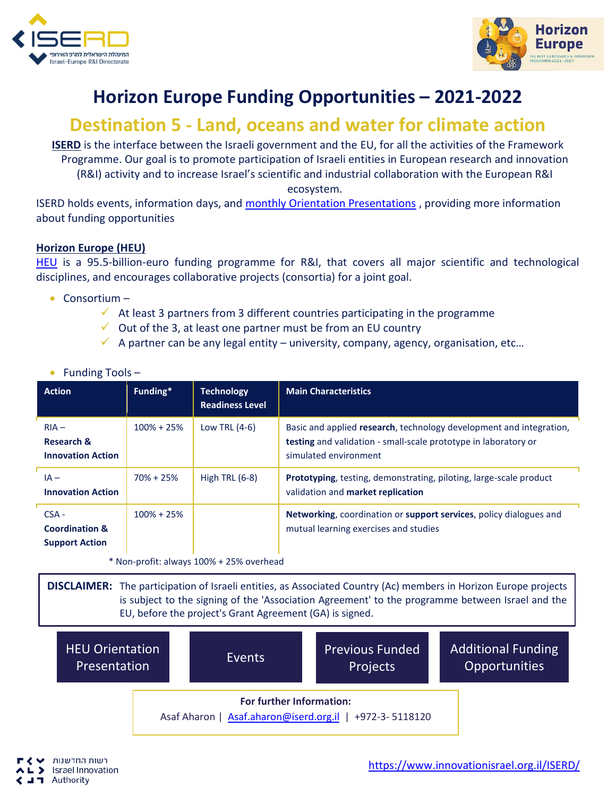



## **Horizon Europe Funding Opportunities – 2021-2022**

## **Destination 5 - Land, oceans and water for climate action**

**ISERD** is the interface between the Israeli government and the EU, for all the activities of the Framework Programme. Our goal is to promote participation of Israeli entities in European research and innovation (R&I) activity and to increase Israel's scientific and industrial collaboration with the European R&I ecosystem.

ISERD holds events, information days, and [monthly Orientation Presentations](https://www.innovationisrael.org.il/ISERD/page/news-events) , providing more information about funding opportunities

## **Horizon Europe (HEU)**

[HEU](https://ec.europa.eu/info/horizon-europe_en) is a 95.5-billion-euro funding programme for R&I, that covers all major scientific and technological disciplines, and encourages collaborative projects (consortia) for a joint goal.

- Consortium
	- $\checkmark$  At least 3 partners from 3 different countries participating in the programme
	- $\checkmark$  Out of the 3, at least one partner must be from an EU country
	- $\checkmark$  A partner can be any legal entity university, company, agency, organisation, etc...

| <b>Action</b>                                                 | Funding*       | <b>Technology</b><br><b>Readiness Level</b> | <b>Main Characteristics</b>                                                                                                                                     |
|---------------------------------------------------------------|----------------|---------------------------------------------|-----------------------------------------------------------------------------------------------------------------------------------------------------------------|
| $RIA -$<br>Research &<br><b>Innovation Action</b>             | $100\% + 25\%$ | Low TRL (4-6)                               | Basic and applied research, technology development and integration,<br>testing and validation - small-scale prototype in laboratory or<br>simulated environment |
| $IA -$<br><b>Innovation Action</b>                            | $70\% + 25\%$  | High TRL $(6-8)$                            | Prototyping, testing, demonstrating, piloting, large-scale product<br>validation and market replication                                                         |
| $CSA -$<br><b>Coordination &amp;</b><br><b>Support Action</b> | $100\% + 25\%$ |                                             | Networking, coordination or support services, policy dialogues and<br>mutual learning exercises and studies                                                     |

## • Funding Tools –

\* Non-profit: always 100% + 25% overhead

**DISCLAIMER:** The participation of Israeli entities, as Associated Country (Ac) members in Horizon Europe projects is subject to the signing of the 'Association Agreement' to the programme between Israel and the EU, before the project's Grant Agreement (GA) is signed.